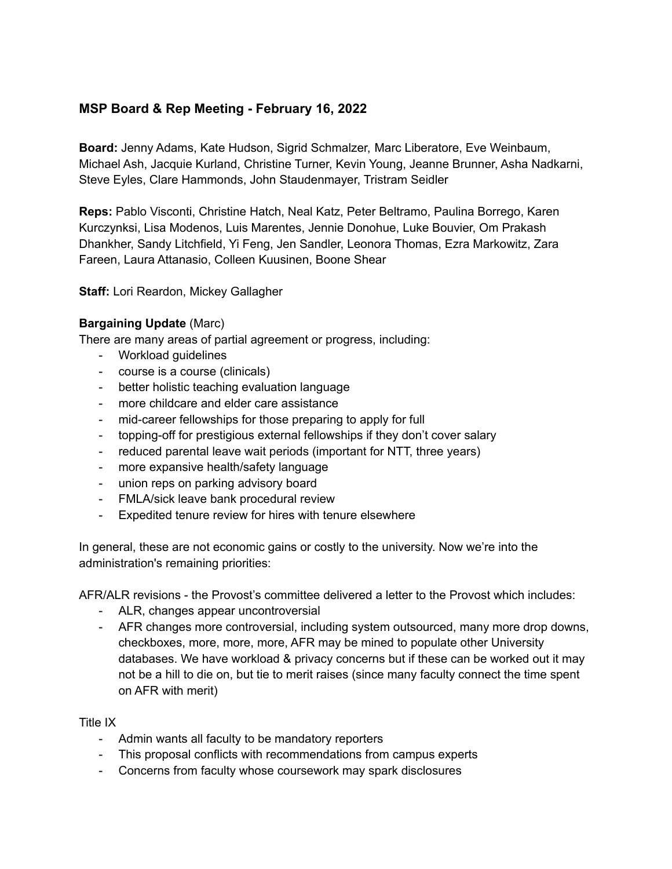# **MSP Board & Rep Meeting - February 16, 2022**

**Board:** Jenny Adams, Kate Hudson, Sigrid Schmalzer, Marc Liberatore, Eve Weinbaum, Michael Ash, Jacquie Kurland, Christine Turner, Kevin Young, Jeanne Brunner, Asha Nadkarni, Steve Eyles, Clare Hammonds, John Staudenmayer, Tristram Seidler

**Reps:** Pablo Visconti, Christine Hatch, Neal Katz, Peter Beltramo, Paulina Borrego, Karen Kurczynksi, Lisa Modenos, Luis Marentes, Jennie Donohue, Luke Bouvier, Om Prakash Dhankher, Sandy Litchfield, Yi Feng, Jen Sandler, Leonora Thomas, Ezra Markowitz, Zara Fareen, Laura Attanasio, Colleen Kuusinen, Boone Shear

**Staff:** Lori Reardon, Mickey Gallagher

### **Bargaining Update** (Marc)

There are many areas of partial agreement or progress, including:

- Workload guidelines
- course is a course (clinicals)
- better holistic teaching evaluation language
- more childcare and elder care assistance
- mid-career fellowships for those preparing to apply for full
- topping-off for prestigious external fellowships if they don't cover salary
- reduced parental leave wait periods (important for NTT, three years)
- more expansive health/safety language
- union reps on parking advisory board
- FMLA/sick leave bank procedural review
- Expedited tenure review for hires with tenure elsewhere

In general, these are not economic gains or costly to the university. Now we're into the administration's remaining priorities:

AFR/ALR revisions - the Provost's committee delivered a letter to the Provost which includes:

- ALR, changes appear uncontroversial
- AFR changes more controversial, including system outsourced, many more drop downs, checkboxes, more, more, more, AFR may be mined to populate other University databases. We have workload & privacy concerns but if these can be worked out it may not be a hill to die on, but tie to merit raises (since many faculty connect the time spent on AFR with merit)

Title IX

- Admin wants all faculty to be mandatory reporters
- This proposal conflicts with recommendations from campus experts
- Concerns from faculty whose coursework may spark disclosures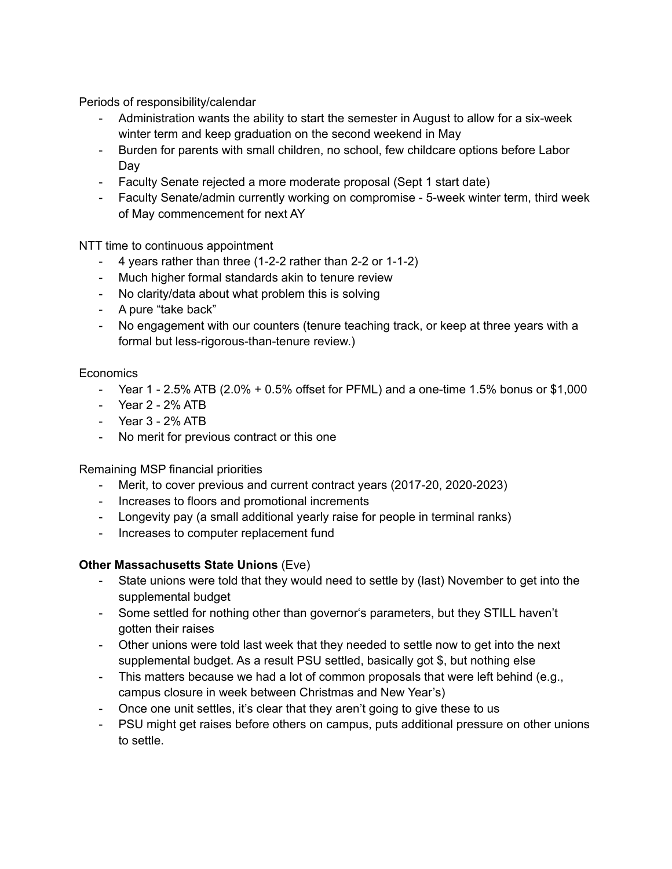Periods of responsibility/calendar

- Administration wants the ability to start the semester in August to allow for a six-week winter term and keep graduation on the second weekend in May
- Burden for parents with small children, no school, few childcare options before Labor Day
- Faculty Senate rejected a more moderate proposal (Sept 1 start date)
- Faculty Senate/admin currently working on compromise 5-week winter term, third week of May commencement for next AY

NTT time to continuous appointment

- 4 years rather than three (1-2-2 rather than 2-2 or 1-1-2)
- Much higher formal standards akin to tenure review
- No clarity/data about what problem this is solving
- A pure "take back"
- No engagement with our counters (tenure teaching track, or keep at three years with a formal but less-rigorous-than-tenure review.)

## **Economics**

- Year 1 2.5% ATB (2.0% + 0.5% offset for PFML) and a one-time 1.5% bonus or \$1,000
- Year 2 2% ATB
- Year 3 2% ATB
- No merit for previous contract or this one

Remaining MSP financial priorities

- Merit, to cover previous and current contract years (2017-20, 2020-2023)
- Increases to floors and promotional increments
- Longevity pay (a small additional yearly raise for people in terminal ranks)
- Increases to computer replacement fund

### **Other Massachusetts State Unions** (Eve)

- State unions were told that they would need to settle by (last) November to get into the supplemental budget
- Some settled for nothing other than governor's parameters, but they STILL haven't gotten their raises
- Other unions were told last week that they needed to settle now to get into the next supplemental budget. As a result PSU settled, basically got \$, but nothing else
- This matters because we had a lot of common proposals that were left behind (e.g., campus closure in week between Christmas and New Year's)
- Once one unit settles, it's clear that they aren't going to give these to us
- PSU might get raises before others on campus, puts additional pressure on other unions to settle.